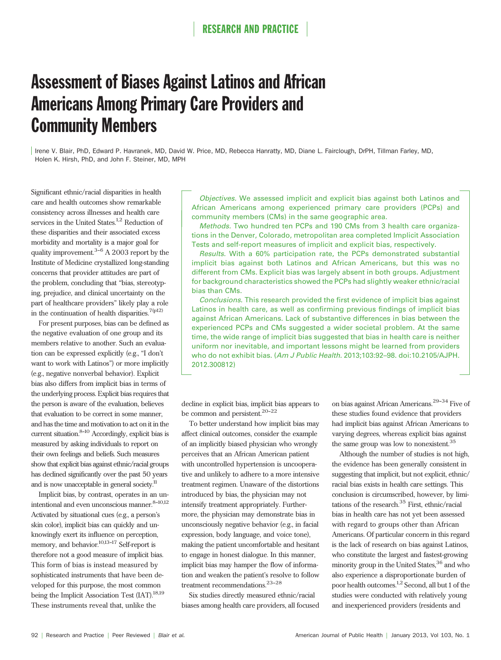# Assessment of Biases Against Latinos and African Americans Among Primary Care Providers and Community Members

Irene V. Blair, PhD, Edward P. Havranek, MD, David W. Price, MD, Rebecca Hanratty, MD, Diane L. Fairclough, DrPH, Tillman Farley, MD, Holen K. Hirsh, PhD, and John F. Steiner, MD, MPH

Significant ethnic/racial disparities in health care and health outcomes show remarkable consistency across illnesses and health care services in the United States.<sup>1,2</sup> Reduction of these disparities and their associated excess morbidity and mortality is a major goal for quality improvement. $3-6$  A 2003 report by the Institute of Medicine crystallized long-standing concerns that provider attitudes are part of the problem, concluding that "bias, stereotyping, prejudice, and clinical uncertainty on the part of healthcare providers" likely play a role in the continuation of health disparities.<sup>7(p12)</sup>

For present purposes, bias can be defined as the negative evaluation of one group and its members relative to another. Such an evaluation can be expressed explicitly (e.g., "I don't want to work with Latinos") or more implicitly (e.g., negative nonverbal behavior). Explicit bias also differs from implicit bias in terms of the underlying process. Explicit bias requires that the person is aware of the evaluation, believes that evaluation to be correct in some manner, and has the time and motivation to act on it in the current situation. $8-10$  Accordingly, explicit bias is measured by asking individuals to report on their own feelings and beliefs. Such measures show that explicit bias against ethnic/racial groups has declined significantly over the past 50 years and is now unacceptable in general society.<sup>11</sup>

Implicit bias, by contrast, operates in an unintentional and even unconscious manner. $8-10,12$ Activated by situational cues (e.g., a person's skin color), implicit bias can quickly and unknowingly exert its influence on perception, memory, and behavior. $10,13-17$  Self-report is therefore not a good measure of implicit bias. This form of bias is instead measured by sophisticated instruments that have been developed for this purpose, the most common being the Implicit Association Test (IAT).<sup>18,19</sup> These instruments reveal that, unlike the

Objectives. We assessed implicit and explicit bias against both Latinos and African Americans among experienced primary care providers (PCPs) and community members (CMs) in the same geographic area.

Methods. Two hundred ten PCPs and 190 CMs from 3 health care organizations in the Denver, Colorado, metropolitan area completed Implicit Association Tests and self-report measures of implicit and explicit bias, respectively.

Results. With a 60% participation rate, the PCPs demonstrated substantial implicit bias against both Latinos and African Americans, but this was no different from CMs. Explicit bias was largely absent in both groups. Adjustment for background characteristics showed the PCPs had slightly weaker ethnic/racial bias than CMs.

Conclusions. This research provided the first evidence of implicit bias against Latinos in health care, as well as confirming previous findings of implicit bias against African Americans. Lack of substantive differences in bias between the experienced PCPs and CMs suggested a wider societal problem. At the same time, the wide range of implicit bias suggested that bias in health care is neither uniform nor inevitable, and important lessons might be learned from providers who do not exhibit bias. (Am J Public Health. 2013;103:92–98. doi:10.2105/AJPH. 2012.300812)

decline in explicit bias, implicit bias appears to be common and persistent. $20-22$ 

To better understand how implicit bias may affect clinical outcomes, consider the example of an implicitly biased physician who wrongly perceives that an African American patient with uncontrolled hypertension is uncooperative and unlikely to adhere to a more intensive treatment regimen. Unaware of the distortions introduced by bias, the physician may not intensify treatment appropriately. Furthermore, the physician may demonstrate bias in unconsciously negative behavior (e.g., in facial expression, body language, and voice tone), making the patient uncomfortable and hesitant to engage in honest dialogue. In this manner, implicit bias may hamper the flow of information and weaken the patient's resolve to follow treatment recommendations. $23-28$ 

Six studies directly measured ethnic/racial biases among health care providers, all focused on bias against African Americans.<sup>29-34</sup> Five of these studies found evidence that providers had implicit bias against African Americans to varying degrees, whereas explicit bias against the same group was low to nonexistent.<sup>35</sup>

Although the number of studies is not high, the evidence has been generally consistent in suggesting that implicit, but not explicit, ethnic/ racial bias exists in health care settings. This conclusion is circumscribed, however, by limitations of the research.<sup>35</sup> First, ethnic/racial bias in health care has not yet been assessed with regard to groups other than African Americans. Of particular concern in this regard is the lack of research on bias against Latinos, who constitute the largest and fastest-growing minority group in the United States,<sup>36</sup> and who also experience a disproportionate burden of poor health outcomes.1,2 Second, all but 1 of the studies were conducted with relatively young and inexperienced providers (residents and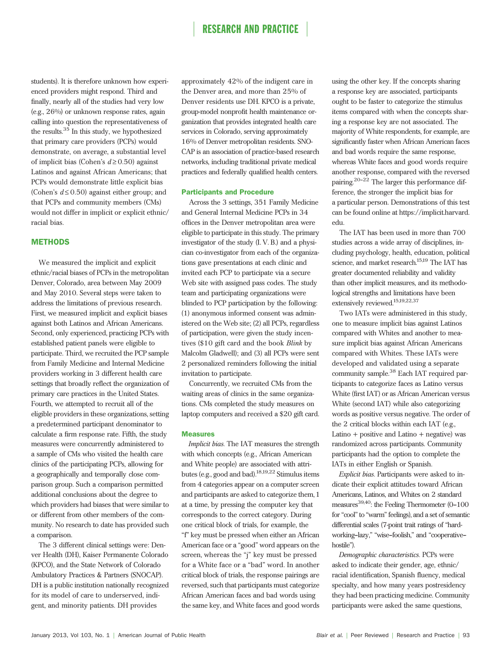students). It is therefore unknown how experienced providers might respond. Third and finally, nearly all of the studies had very low (e.g., 26%) or unknown response rates, again calling into question the representativeness of the results.<sup>35</sup> In this study, we hypothesized that primary care providers (PCPs) would demonstrate, on average, a substantial level of implicit bias (Cohen's  $d \ge 0.50$ ) against Latinos and against African Americans; that PCPs would demonstrate little explicit bias (Cohen's  $d \le 0.50$ ) against either group; and that PCPs and community members (CMs) would not differ in implicit or explicit ethnic/ racial bias.

### **METHODS**

We measured the implicit and explicit ethnic/racial biases of PCPs in the metropolitan Denver, Colorado, area between May 2009 and May 2010. Several steps were taken to address the limitations of previous research. First, we measured implicit and explicit biases against both Latinos and African Americans. Second, only experienced, practicing PCPs with established patient panels were eligible to participate. Third, we recruited the PCP sample from Family Medicine and Internal Medicine providers working in 3 different health care settings that broadly reflect the organization of primary care practices in the United States. Fourth, we attempted to recruit all of the eligible providers in these organizations, setting a predetermined participant denominator to calculate a firm response rate. Fifth, the study measures were concurrently administered to a sample of CMs who visited the health care clinics of the participating PCPs, allowing for a geographically and temporally close comparison group. Such a comparison permitted additional conclusions about the degree to which providers had biases that were similar to or different from other members of the community. No research to date has provided such a comparison.

The 3 different clinical settings were: Denver Health (DH), Kaiser Permanente Colorado (KPCO), and the State Network of Colorado Ambulatory Practices & Partners (SNOCAP). DH is a public institution nationally recognized for its model of care to underserved, indigent, and minority patients. DH provides

approximately 42% of the indigent care in the Denver area, and more than 25% of Denver residents use DH. KPCO is a private, group-model nonprofit health maintenance organization that provides integrated health care services in Colorado, serving approximately 16% of Denver metropolitan residents. SNO-CAP is an association of practice-based research networks, including traditional private medical practices and federally qualified health centers.

#### Participants and Procedure

Across the 3 settings, 351 Family Medicine and General Internal Medicine PCPs in 34 offices in the Denver metropolitan area were eligible to participate in this study. The primary investigator of the study (I. V. B.) and a physician co-investigator from each of the organizations gave presentations at each clinic and invited each PCP to participate via a secure Web site with assigned pass codes. The study team and participating organizations were blinded to PCP participation by the following: (1) anonymous informed consent was administered on the Web site; (2) all PCPs, regardless of participation, were given the study incentives (\$10 gift card and the book Blink by Malcolm Gladwell); and (3) all PCPs were sent 2 personalized reminders following the initial invitation to participate.

Concurrently, we recruited CMs from the waiting areas of clinics in the same organizations. CMs completed the study measures on laptop computers and received a \$20 gift card.

#### **Measures**

Implicit bias. The IAT measures the strength with which concepts (e.g., African American and White people) are associated with attributes (e.g., good and bad).18,19,22 Stimulus items from 4 categories appear on a computer screen and participants are asked to categorize them, 1 at a time, by pressing the computer key that corresponds to the correct category. During one critical block of trials, for example, the "f" key must be pressed when either an African American face or a "good" word appears on the screen, whereas the "j" key must be pressed for a White face or a "bad" word. In another critical block of trials, the response pairings are reversed, such that participants must categorize African American faces and bad words using the same key, and White faces and good words using the other key. If the concepts sharing a response key are associated, participants ought to be faster to categorize the stimulus items compared with when the concepts sharing a response key are not associated. The majority of White respondents, for example, are significantly faster when African American faces and bad words require the same response, whereas White faces and good words require another response, compared with the reversed pairing.<sup>20-22</sup> The larger this performance difference, the stronger the implicit bias for a particular person. Demonstrations of this test can be found online at [https://implicit.harvard.](https://implicit.harvard.edu) [edu.](https://implicit.harvard.edu)

The IAT has been used in more than 700 studies across a wide array of disciplines, including psychology, health, education, political science, and market research.<sup>15,19</sup> The IAT has greater documented reliability and validity than other implicit measures, and its methodological strengths and limitations have been extensively reviewed.15,19,22,37

Two IATs were administered in this study, one to measure implicit bias against Latinos compared with Whites and another to measure implicit bias against African Americans compared with Whites. These IATs were developed and validated using a separate community sample.38 Each IAT required participants to categorize faces as Latino versus White (first IAT) or as African American versus White (second IAT) while also categorizing words as positive versus negative. The order of the 2 critical blocks within each IAT (e.g., Latino  $+$  positive and Latino  $+$  negative) was randomized across participants. Community participants had the option to complete the IATs in either English or Spanish.

Explicit bias. Participants were asked to indicate their explicit attitudes toward African Americans, Latinos, and Whites on 2 standard measures<sup>39,40</sup>: the Feeling Thermometer  $(0-100$ for "cool" to "warm" feelings), and a set of semantic differential scales (7-point trait ratings of "hardworking-lazy," "wise-foolish," and "cooperativehostile").

Demographic characteristics. PCPs were asked to indicate their gender, age, ethnic/ racial identification, Spanish fluency, medical specialty, and how many years postresidency they had been practicing medicine. Community participants were asked the same questions,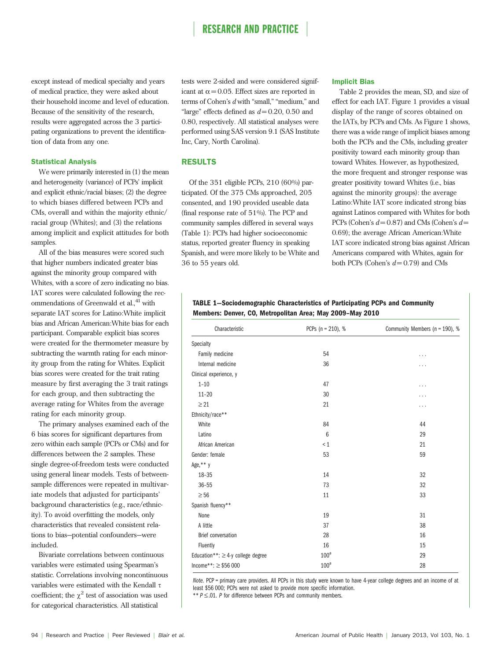except instead of medical specialty and years of medical practice, they were asked about their household income and level of education. Because of the sensitivity of the research, results were aggregated across the 3 participating organizations to prevent the identification of data from any one.

#### Statistical Analysis

We were primarily interested in (1) the mean and heterogeneity (variance) of PCPs' implicit and explicit ethnic/racial biases; (2) the degree to which biases differed between PCPs and CMs, overall and within the majority ethnic/ racial group (Whites); and (3) the relations among implicit and explicit attitudes for both samples.

All of the bias measures were scored such that higher numbers indicated greater bias against the minority group compared with Whites, with a score of zero indicating no bias. IAT scores were calculated following the recommendations of Greenwald et al., $41$  with separate IAT scores for Latino:White implicit bias and African American:White bias for each participant. Comparable explicit bias scores were created for the thermometer measure by subtracting the warmth rating for each minority group from the rating for Whites. Explicit bias scores were created for the trait rating measure by first averaging the 3 trait ratings for each group, and then subtracting the average rating for Whites from the average rating for each minority group.

The primary analyses examined each of the 6 bias scores for significant departures from zero within each sample (PCPs or CMs) and for differences between the 2 samples. These single degree-of-freedom tests were conducted using general linear models. Tests of betweensample differences were repeated in multivariate models that adjusted for participants' background characteristics (e.g., race/ethnicity). To avoid overfitting the models, only characteristics that revealed consistent relations to bias—potential confounders—were included.

Bivariate correlations between continuous variables were estimated using Spearman's statistic. Correlations involving noncontinuous variables were estimated with the Kendall  $\tau$ coefficient; the  $\chi^2$  test of association was used for categorical characteristics. All statistical

tests were 2-sided and were considered significant at  $\alpha = 0.05$ . Effect sizes are reported in terms of Cohen's d with "small," "medium," and "large" effects defined as  $d = 0.20, 0.50$  and 0.80, respectively. All statistical analyses were performed using SAS version 9.1 (SAS Institute Inc, Cary, North Carolina).

### RESULTS

Of the 351 eligible PCPs, 210 (60%) participated. Of the 375 CMs approached, 205 consented, and 190 provided useable data (final response rate of 51%). The PCP and community samples differed in several ways (Table 1): PCPs had higher socioeconomic status, reported greater fluency in speaking Spanish, and were more likely to be White and 36 to 55 years old.

#### Implicit Bias

Table 2 provides the mean, SD, and size of effect for each IAT. Figure 1 provides a visual display of the range of scores obtained on the IATs, by PCPs and CMs. As Figure 1 shows, there was a wide range of implicit biases among both the PCPs and the CMs, including greater positivity toward each minority group than toward Whites. However, as hypothesized, the more frequent and stronger response was greater positivity toward Whites (i.e., bias against the minority groups): the average Latino:White IAT score indicated strong bias against Latinos compared with Whites for both PCPs (Cohen's  $d = 0.87$ ) and CMs (Cohen's  $d =$ 0.69); the average African American:White IAT score indicated strong bias against African Americans compared with Whites, again for both PCPs (Cohen's  $d = 0.79$ ) and CMs

### TABLE 1—Sociodemographic Characteristics of Participating PCPs and Community Members: Denver, CO, Metropolitan Area; May 2009–May 2010

| Characteristic                         | PCPs ( $n = 210$ ), % | Community Members ( $n = 190$ ), % |
|----------------------------------------|-----------------------|------------------------------------|
| Specialty                              |                       |                                    |
| Family medicine                        | 54                    | .                                  |
| Internal medicine                      | 36                    | .                                  |
| Clinical experience, y                 |                       |                                    |
| $1 - 10$                               | 47                    | .                                  |
| $11 - 20$                              | 30                    | .                                  |
| $\geq 21$                              | 21                    | .                                  |
| Ethnicity/race**                       |                       |                                    |
| White                                  | 84                    | 44                                 |
| Latino                                 | 6                     | 29                                 |
| African American                       | $\leq 1$              | 21                                 |
| Gender: female                         | 53                    | 59                                 |
| Age, $** y$                            |                       |                                    |
| 18-35                                  | 14                    | 32                                 |
| $36 - 55$                              | 73                    | 32                                 |
| $\geq 56$                              | 11                    | 33                                 |
| Spanish fluency**                      |                       |                                    |
| None                                   | 19                    | 31                                 |
| A little                               | 37                    | 38                                 |
| <b>Brief conversation</b>              | 28                    | 16                                 |
| Fluently                               | 16                    | 15                                 |
| Education**: $\geq$ 4-y college degree | 100 <sup>a</sup>      | 29                                 |
| Income**: $\ge$ \$56 000               | 100 <sup>a</sup>      | 28                                 |

Note. PCP = primary care providers. All PCPs in this study were known to have 4-year college degrees and an income of at least \$56 000; PCPs were not asked to provide more specific information.

\*\*  $P \leq .01$ . P for difference between PCPs and community members.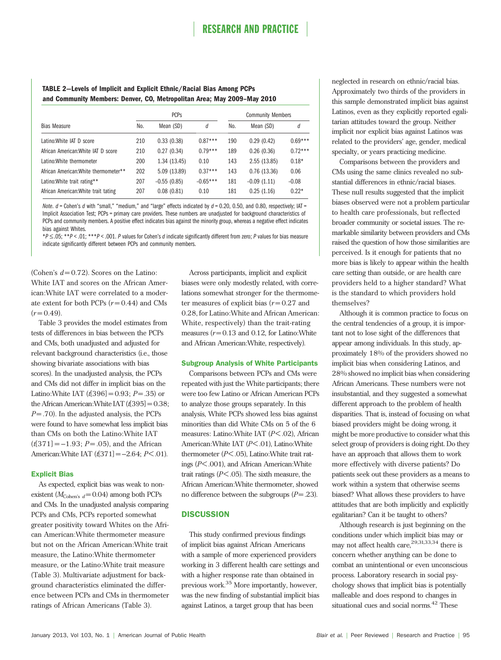### TABLE 2—Levels of Implicit and Explicit Ethnic/Racial Bias Among PCPs and Community Members: Denver, CO, Metropolitan Area; May 2009–May 2010

| <b>Bias Measure</b>                   | <b>PCPs</b> |               |            | <b>Community Members</b> |               |           |
|---------------------------------------|-------------|---------------|------------|--------------------------|---------------|-----------|
|                                       | No.         | Mean (SD)     | d          | No.                      | Mean (SD)     | d         |
| Latino: White IAT D score             | 210         | 0.33(0.38)    | $0.87***$  | 190                      | 0.29(0.42)    | $0.69***$ |
| African American: White IAT D score   | 210         | 0.27(0.34)    | $0.79***$  | 189                      | 0.26(0.36)    | $0.72***$ |
| Latino: White thermometer             | 200         | 1.34(13.45)   | 0.10       | 143                      | 2.55(13.85)   | $0.18*$   |
| African American: White thermometer** | 202         | 5.09 (13.89)  | $0.37***$  | 143                      | 0.76(13.36)   | 0.06      |
| Latino: White trait rating**          | 207         | $-0.55(0.85)$ | $-0.65***$ | 181                      | $-0.09(1.11)$ | $-0.08$   |
| African American: White trait tating  | 207         | 0.08(0.81)    | 0.10       | 181                      | 0.25(1.16)    | $0.22*$   |

Note.  $d$  = Cohen's  $d$  with "small," "medium," and "large" effects indicated by  $d$  = 0.20, 0.50, and 0.80, respectively; IAT = Implicit Association Test; PCPs = primary care providers. These numbers are unadjusted for background characteristics of PCPs and community members. A positive effect indicates bias against the minority group, whereas a negative effect indicates bias against Whites.

\*P  $\leq$  .05: \*\*P < .01; \*\*\*P < .001. P values for Cohen's d indicate significantly different from zero; P values for bias measure indicate significantly different between PCPs and community members.

(Cohen's  $d = 0.72$ ). Scores on the Latino: White IAT and scores on the African American:White IAT were correlated to a moderate extent for both PCPs  $(r = 0.44)$  and CMs  $(r = 0.49)$ .

Table 3 provides the model estimates from tests of differences in bias between the PCPs and CMs, both unadjusted and adjusted for relevant background characteristics (i.e., those showing bivariate associations with bias scores). In the unadjusted analysis, the PCPs and CMs did not differ in implicit bias on the Latino:White IAT  $(t[396] = 0.93; P = .35)$  or the African American: White IAT  $(t[395] = 0.38;$  $P = .70$ ). In the adjusted analysis, the PCPs were found to have somewhat less implicit bias than CMs on both the Latino:White IAT  $(t[371] = -1.93; P = .05)$ , and the African American: White IAT  $(t[371] = -2.64; P \le 01)$ .

#### Explicit Bias

As expected, explicit bias was weak to nonexistent ( $M_{\text{Cohen's } d} = 0.04$ ) among both PCPs and CMs. In the unadjusted analysis comparing PCPs and CMs, PCPs reported somewhat greater positivity toward Whites on the African American:White thermometer measure but not on the African American:White trait measure, the Latino:White thermometer measure, or the Latino:White trait measure (Table 3). Multivariate adjustment for background characteristics eliminated the difference between PCPs and CMs in thermometer ratings of African Americans (Table 3).

Across participants, implicit and explicit biases were only modestly related, with correlations somewhat stronger for the thermometer measures of explicit bias  $(r=0.27$  and 0.28, for Latino:White and African American: White, respectively) than the trait-rating measures  $(r=0.13$  and 0.12, for Latino: White and African American:White, respectively).

#### Subgroup Analysis of White Participants

Comparisons between PCPs and CMs were repeated with just the White participants; there were too few Latino or African American PCPs to analyze those groups separately. In this analysis, White PCPs showed less bias against minorities than did White CMs on 5 of the 6 measures: Latino: White IAT  $(P < .02)$ , African American: White IAT  $(P < .01)$ , Latino: White thermometer  $(P<.05)$ , Latino: White trait ratings  $(P < 0.001)$ , and African American: White trait ratings  $(P<.05)$ . The sixth measure, the African American:White thermometer, showed no difference between the subgroups  $(P = .23)$ .

#### **DISCUSSION**

This study confirmed previous findings of implicit bias against African Americans with a sample of more experienced providers working in 3 different health care settings and with a higher response rate than obtained in previous work.35 More importantly, however, was the new finding of substantial implicit bias against Latinos, a target group that has been

neglected in research on ethnic/racial bias. Approximately two thirds of the providers in this sample demonstrated implicit bias against Latinos, even as they explicitly reported egalitarian attitudes toward the group. Neither implicit nor explicit bias against Latinos was related to the providers' age, gender, medical specialty, or years practicing medicine.

Comparisons between the providers and CMs using the same clinics revealed no substantial differences in ethnic/racial biases. These null results suggested that the implicit biases observed were not a problem particular to health care professionals, but reflected broader community or societal issues. The remarkable similarity between providers and CMs raised the question of how those similarities are perceived. Is it enough for patients that no more bias is likely to appear within the health care setting than outside, or are health care providers held to a higher standard? What is the standard to which providers hold themselves?

Although it is common practice to focus on the central tendencies of a group, it is important not to lose sight of the differences that appear among individuals. In this study, approximately 18% of the providers showed no implicit bias when considering Latinos, and 28% showed no implicit bias when considering African Americans. These numbers were not insubstantial, and they suggested a somewhat different approach to the problem of health disparities. That is, instead of focusing on what biased providers might be doing wrong, it might be more productive to consider what this select group of providers is doing right. Do they have an approach that allows them to work more effectively with diverse patients? Do patients seek out these providers as a means to work within a system that otherwise seems biased? What allows these providers to have attitudes that are both implicitly and explicitly egalitarian? Can it be taught to others?

Although research is just beginning on the conditions under which implicit bias may or may not affect health care,<sup>29,31,33,34</sup> there is concern whether anything can be done to combat an unintentional or even unconscious process. Laboratory research in social psychology shows that implicit bias is potentially malleable and does respond to changes in situational cues and social norms.<sup>42</sup> These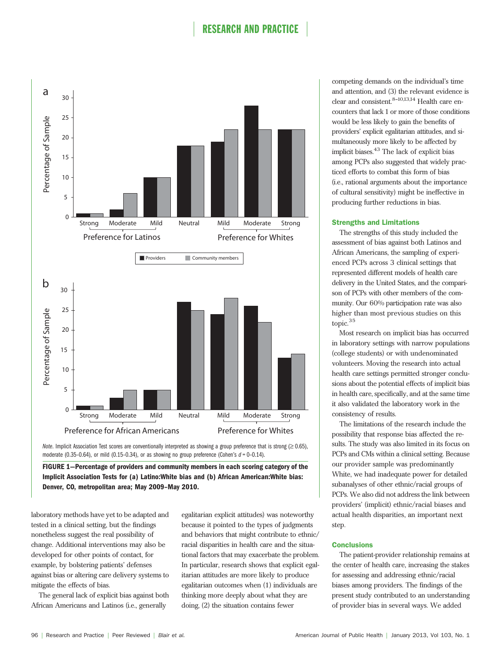

Note. Implicit Association Test scores are conventionally interpreted as showing a group preference that is strong ( $\geq 0.65$ ), moderate (0.35-0.64), or mild (0.15-0.34), or as showing no group preference (Cohen's  $d = 0-0.14$ ).

FIGURE 1—Percentage of providers and community members in each scoring category of the Implicit Association Tests for (a) Latino:White bias and (b) African American:White bias: Denver, CO, metropolitan area; May 2009–May 2010.

laboratory methods have yet to be adapted and tested in a clinical setting, but the findings nonetheless suggest the real possibility of change. Additional interventions may also be developed for other points of contact, for example, by bolstering patients' defenses against bias or altering care delivery systems to mitigate the effects of bias.

The general lack of explicit bias against both African Americans and Latinos (i.e., generally

egalitarian explicit attitudes) was noteworthy because it pointed to the types of judgments and behaviors that might contribute to ethnic/ racial disparities in health care and the situational factors that may exacerbate the problem. In particular, research shows that explicit egalitarian attitudes are more likely to produce egalitarian outcomes when (1) individuals are thinking more deeply about what they are doing, (2) the situation contains fewer

competing demands on the individual's time and attention, and (3) the relevant evidence is clear and consistent. $8-10,13,14$  Health care encounters that lack 1 or more of those conditions would be less likely to gain the benefits of providers' explicit egalitarian attitudes, and simultaneously more likely to be affected by implicit biases.43 The lack of explicit bias among PCPs also suggested that widely practiced efforts to combat this form of bias (i.e., rational arguments about the importance of cultural sensitivity) might be ineffective in producing further reductions in bias.

### Strengths and Limitations

The strengths of this study included the assessment of bias against both Latinos and African Americans, the sampling of experienced PCPs across 3 clinical settings that represented different models of health care delivery in the United States, and the comparison of PCPs with other members of the community. Our 60% participation rate was also higher than most previous studies on this topic.<sup>35</sup>

Most research on implicit bias has occurred in laboratory settings with narrow populations (college students) or with undenominated volunteers. Moving the research into actual health care settings permitted stronger conclusions about the potential effects of implicit bias in health care, specifically, and at the same time it also validated the laboratory work in the consistency of results.

The limitations of the research include the possibility that response bias affected the results. The study was also limited in its focus on PCPs and CMs within a clinical setting. Because our provider sample was predominantly White, we had inadequate power for detailed subanalyses of other ethnic/racial groups of PCPs. We also did not address the link between providers' (implicit) ethnic/racial biases and actual health disparities, an important next step.

#### **Conclusions**

The patient-provider relationship remains at the center of health care, increasing the stakes for assessing and addressing ethnic/racial biases among providers. The findings of the present study contributed to an understanding of provider bias in several ways. We added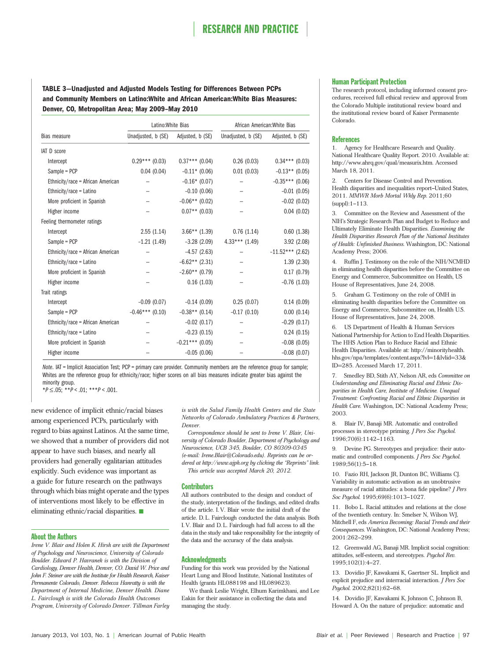### TABLE 3—Unadjusted and Adjusted Models Testing for Differences Between PCPs and Community Members on Latino:White and African American:White Bias Measures: Denver, CO, Metropolitan Area; May 2009–May 2010

|                                   | Latino: White Bias       |                   | African American: White Bias |                    |  |
|-----------------------------------|--------------------------|-------------------|------------------------------|--------------------|--|
| Bias measure                      | Unadjusted, b (SE)       | Adjusted, b (SE)  | Unadjusted, b (SE)           | Adjusted, b (SE)   |  |
| IAT D score                       |                          |                   |                              |                    |  |
| Intercept                         | $0.29***(0.03)$          | $0.37***(0.04)$   | 0.26(0.03)                   | $0.34***(0.03)$    |  |
| Sample = PCP                      | 0.04(0.04)               | $-0.11*$ (0.06)   | 0.01(0.03)                   | $-0.13**$ (0.05)   |  |
| Ethnicity/race = African American |                          | $-0.16*$ (0.07)   |                              | $-0.35***(0.06)$   |  |
| Ethnicity/race = Latino           |                          | $-0.10(0.06)$     |                              | $-0.01(0.05)$      |  |
| More proficient in Spanish        |                          | $-0.06**$ (0.02)  |                              | $-0.02(0.02)$      |  |
| Higher income                     |                          | $0.07**$ (0.03)   |                              | 0.04(0.02)         |  |
| Feeling thermometer ratings       |                          |                   |                              |                    |  |
| Intercept                         | 2.55(1.14)               | $3.66**$ (1.39)   | 0.76(1.14)                   | 0.60(1.38)         |  |
| Sample = PCP                      | $-1.21(1.49)$            | $-3.28(2.09)$     | $4.33***$ (1.49)             | 3.92(2.08)         |  |
| Ethnicity/race = African American | -                        | $-4.57(2.63)$     |                              | $-11.52***$ (2.62) |  |
| Ethnicity/race = Latino           | $\overline{\phantom{0}}$ | $-6.62**$ (2.31)  |                              | 1.39(2.30)         |  |
| More proficient in Spanish        |                          | $-2.60**$ (0.79)  |                              | 0.17(0.79)         |  |
| Higher income                     |                          | 0.16(1.03)        |                              | $-0.76(1.03)$      |  |
| Trait ratings                     |                          |                   |                              |                    |  |
| Intercept                         | $-0.09(0.07)$            | $-0.14(0.09)$     | 0.25(0.07)                   | 0.14(0.09)         |  |
| Sample = PCP                      | $-0.46***(0.10)$         | $-0.38**$ (0.14)  | $-0.17(0.10)$                | 0.00(0.14)         |  |
| Ethnicity/race = African American |                          | $-0.02(0.17)$     |                              | $-0.29(0.17)$      |  |
| Ethnicity/race = Latino           |                          | $-0.23(0.15)$     |                              | 0.24(0.15)         |  |
| More proficient in Spanish        |                          | $-0.21***$ (0.05) |                              | $-0.08(0.05)$      |  |
| Higher income                     |                          | $-0.05(0.06)$     |                              | $-0.08(0.07)$      |  |

Note. IAT = Implicit Association Test; PCP = primary care provider. Community members are the reference group for sample; Whites are the reference group for ethnicity/race; higher scores on all bias measures indicate greater bias against the minority group.

 $*P \leq .05;$  \*\* $P < .01;$  \*\*\* $P < .001$ .

new evidence of implicit ethnic/racial biases among experienced PCPs, particularly with regard to bias against Latinos. At the same time, we showed that a number of providers did not appear to have such biases, and nearly all providers had generally egalitarian attitudes explicitly. Such evidence was important as a guide for future research on the pathways through which bias might operate and the types of interventions most likely to be effective in eliminating ethnic/racial disparities.  $\blacksquare$ 

#### About the Authors

Irene V. Blair and Holen K. Hirsh are with the Department of Psychology and Neuroscience, University of Colorado Boulder. Edward P. Havranek is with the Division of Cardiology, Denver Health, Denver, CO. David W. Price and John F. Steiner are with the Institute for Health Research, Kaiser Permanente Colorado, Denver. Rebecca Hanratty is with the Department of Internal Medicine, Denver Health. Diane L. Fairclough is with the Colorado Health Outcomes Program, University of Colorado Denver. Tillman Farley

is with the Salud Family Health Centers and the State Networks of Colorado Ambulatory Practices & Partners, **Denver** 

Correspondence should be sent to Irene V. Blair, University of Colorado Boulder, Department of Psychology and Neuroscience, UCB 345, Boulder, CO 80309-0345 (e-mail: [Irene.Blair@Colorado.edu\)](mailto:Irene.Blair@Colorado.edu). Reprints can be ordered at http://www.ajph.org by clicking the "Reprints" link.

This article was accepted March 20, 2012.

#### **Contributors**

All authors contributed to the design and conduct of the study, interpretation of the findings, and edited drafts of the article. I. V. Blair wrote the initial draft of the article. D. L. Fairclough conducted the data analysis. Both I. V. Blair and D. L. Fairclough had full access to all the data in the study and take responsibility for the integrity of the data and the accuracy of the data analysis.

#### Acknowledgments

Funding for this work was provided by the National Heart Lung and Blood Institute, National Institutes of Health (grants HL088198 and HL089623).

We thank Leslie Wright, Elhum Karimkhani, and Lee Eakin for their assistance in collecting the data and managing the study.

#### Human Participant Protection

The research protocol, including informed consent procedures, received full ethical review and approval from the Colorado Multiple institutional review board and the institutional review board of Kaiser Permanente Colorado.

#### **References**

1. Agency for Healthcare Research and Quality. National Healthcare Quality Report. 2010. Available at: [http://www.ahrq.gov/qual/measurix.htm.](http://www.ahrq.gov/qual/measurix.htm) Accessed March 18, 2011.

2. Centers for Disease Control and Prevention. Health disparities and inequalities report-United States, 2011. MMWR Morb Mortal Wkly Rep. 2011;60  $(suppl): 1-113.$ 

3. Committee on the Review and Assessment of the NIH's Strategic Research Plan and Budget to Reduce and Ultimately Eliminate Health Disparities. Examining the Health Disparities Research Plan of the National Institutes of Health: Unfinished Business. Washington, DC: National Academy Press; 2006.

4. Ruffin J. Testimony on the role of the NIH/NCMHD in eliminating health disparities before the Committee on Energy and Commerce, Subcommittee on Health, US House of Representatives, June 24, 2008.

5. Graham G. Testimony on the role of OMH in eliminating health disparities before the Committee on Energy and Commerce, Subcommittee on, Health U.S. House of Representatives, June 24, 2008.

6. US Department of Health & Human Services National Partnership for Action to End Health Disparities. The HHS Action Plan to Reduce Racial and Ethnic Health Disparities. Available at: [http://minorityhealth.](http://minorityhealth.hhs.gov/npa/templates/content.aspx?lvl=1&tnqh_x0026;lvlid=33&tnqh_x0026;ID=285) [hhs.gov/npa/templates/content.aspx?lvl=1&lvlid=33&](http://minorityhealth.hhs.gov/npa/templates/content.aspx?lvl=1&tnqh_x0026;lvlid=33&tnqh_x0026;ID=285) [ID=285.](http://minorityhealth.hhs.gov/npa/templates/content.aspx?lvl=1&tnqh_x0026;lvlid=33&tnqh_x0026;ID=285) Accessed March 17, 2011.

7. Smedley BD, Stith AY, Nelson AR, eds Committee on Understanding and Eliminating Racial and Ethnic Disparities in Health Care, Institute of Medicine. Unequal Treatment: Confronting Racial and Ethnic Disparities in Health Care. Washington, DC: National Academy Press; 2003.

8. Blair IV, Banaji MR. Automatic and controlled processes in stereotype priming. J Pers Soc Psychol.  $1996:70(6):1142-1163.$ 

Devine PG. Stereotypes and prejudice: their automatic and controlled components. J Pers Soc Psychol.  $1989:56(1):5-18.$ 

10. Fazio RH, Jackson JR, Dunton BC, Williams CJ. Variability in automatic activation as an unobtrusive measure of racial attitudes: a bona fide pipeline? *J Pers* Soc Psychol. 1995;69(6):1013-1027.

11. Bobo L. Racial attitudes and relations at the close of the twentieth century. In: Smelser N, Wilson WJ, Mitchell F, eds America Becoming: Racial Trends and their Consequences. Washington, DC: National Academy Press; 2001:262-299.

12. Greenwald AG, Banaji MR. Implicit social cognition: attitudes, self-esteem, and stereotypes. Psychol Rev. 1995;102(1):4-27.

13. Dovidio JF, Kawakami K, Gaertner SL. Implicit and explicit prejudice and interracial interaction. J Pers Soc  $Psychol. 2002;82(1):62-68.$ 

14. Dovidio JF, Kawakami K, Johnson C, Johnson B, Howard A. On the nature of prejudice: automatic and